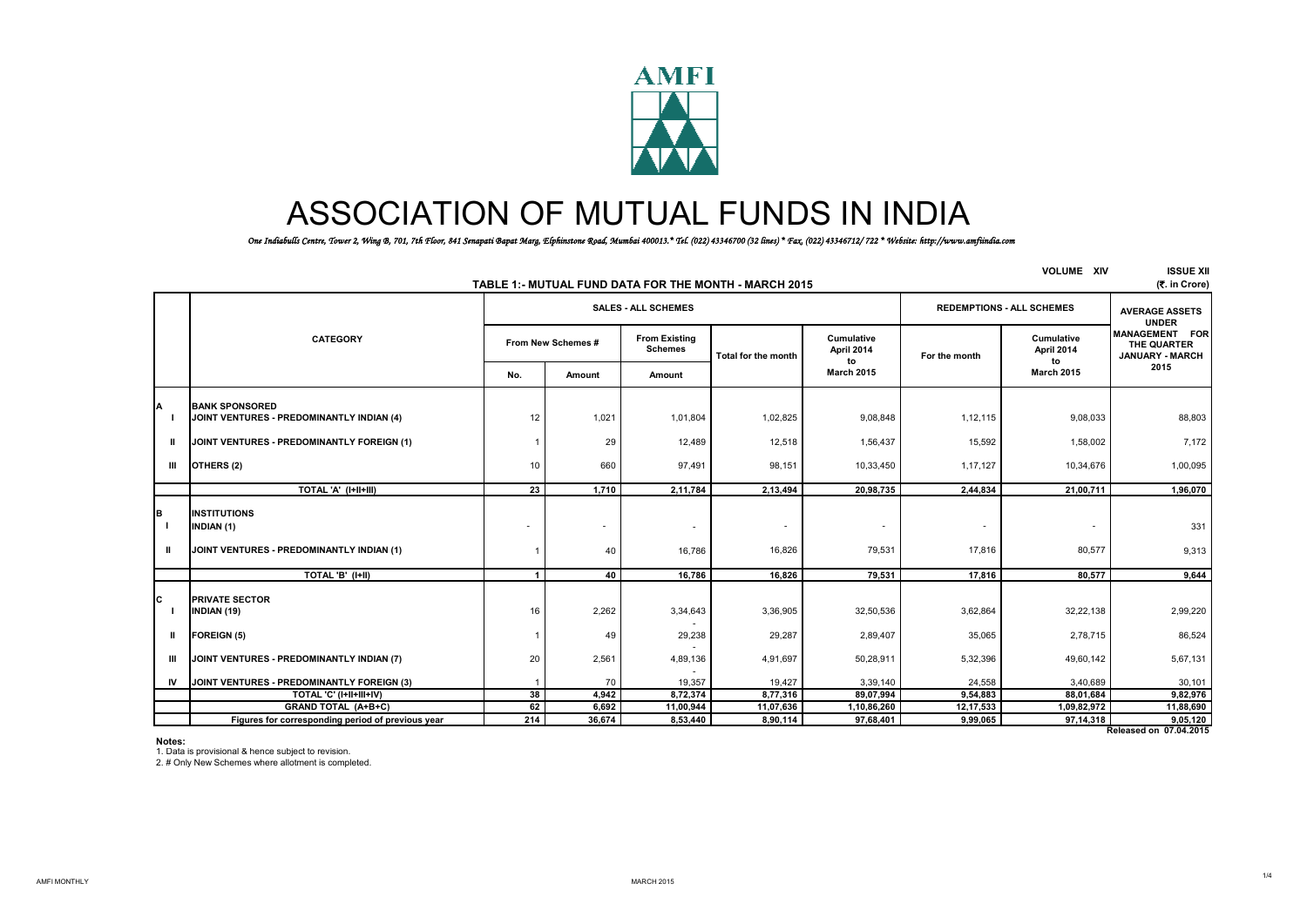

# ASSOCIATION OF MUTUAL FUNDS IN INDIA

*One Indiabulls Centre, Tower 2, Wing B, 701, 7th Floor, 841 Senapati Bapat Marg, Elphinstone Road, Mumbai 400013.\* Tel. (022) 43346700 (32 lines) \* Fax. (022) 43346712/ 722 \* Website: http://www.amfiindia.com*

|              |                                                                    |              |                          |                                        | TABLE 1:- MUTUAL FUND DATA FOR THE MONTH - MARCH 2015 |                                       |                                  | <b>VOLUME XIV</b>                     | <b>ISSUE XII</b><br>(7. in Crore)                |
|--------------|--------------------------------------------------------------------|--------------|--------------------------|----------------------------------------|-------------------------------------------------------|---------------------------------------|----------------------------------|---------------------------------------|--------------------------------------------------|
|              |                                                                    |              |                          | <b>SALES - ALL SCHEMES</b>             |                                                       |                                       | <b>REDEMPTIONS - ALL SCHEMES</b> | <b>AVERAGE ASSETS</b><br><b>UNDER</b> |                                                  |
|              | <b>CATEGORY</b>                                                    |              | From New Schemes #       | <b>From Existing</b><br><b>Schemes</b> | <b>Total for the month</b>                            | <b>Cumulative</b><br>April 2014<br>to | For the month                    | Cumulative<br>April 2014<br>to        | MANAGEMENT FOR<br>THE QUARTER<br>JANUARY - MARCH |
|              |                                                                    | No.          | Amount                   | Amount                                 |                                                       | <b>March 2015</b>                     |                                  | <b>March 2015</b>                     | 2015                                             |
|              | <b>BANK SPONSORED</b><br>JOINT VENTURES - PREDOMINANTLY INDIAN (4) | 12           | 1,021                    | 1,01,804                               | 1,02,825                                              | 9,08,848                              | 1,12,115                         | 9,08,033                              | 88,803                                           |
| $\mathbf{u}$ | JOINT VENTURES - PREDOMINANTLY FOREIGN (1)                         |              | 29                       | 12,489                                 | 12,518                                                | 1,56,437                              | 15,592                           | 1,58,002                              | 7,172                                            |
| Ш            | OTHERS (2)                                                         | 10           | 660                      | 97,491                                 | 98,151                                                | 10,33,450                             | 1,17,127                         | 10,34,676                             | 1,00,095                                         |
|              | TOTAL 'A' (I+II+III)                                               | 23           | 1,710                    | 2,11,784                               | 2,13,494                                              | 20,98,735                             | 2,44,834                         | 21.00.711                             | 1,96,070                                         |
| в<br>n.      | <b>INSTITUTIONS</b><br>INDIAN (1)                                  |              | $\overline{\phantom{a}}$ | ٠                                      | $\sim$                                                | $\overline{\phantom{a}}$              | $\sim$                           | $\overline{\phantom{a}}$              | 331                                              |
| <b>II</b>    | JOINT VENTURES - PREDOMINANTLY INDIAN (1)                          |              | 40                       | 16,786                                 | 16,826                                                | 79,531                                | 17,816                           | 80,577                                | 9,313                                            |
|              | TOTAL 'B' (I+II)                                                   | $\mathbf{1}$ | 40                       | 16,786                                 | 16,826                                                | 79,531                                | 17,816                           | 80,577                                | 9,644                                            |
| C            | <b>PRIVATE SECTOR</b><br><b>INDIAN (19)</b>                        | 16           | 2,262                    | 3,34,643                               | 3,36,905                                              | 32,50,536                             | 3,62,864                         | 32,22,138                             | 2,99,220                                         |
| $\mathbf{u}$ | <b>FOREIGN (5)</b>                                                 |              | 49                       | 29,238                                 | 29,287                                                | 2,89,407                              | 35,065                           | 2,78,715                              | 86,524                                           |
| Ш            | JOINT VENTURES - PREDOMINANTLY INDIAN (7)                          | 20           | 2,561                    | 4,89,136                               | 4,91,697                                              | 50,28,911                             | 5,32,396                         | 49,60,142                             | 5,67,131                                         |
| IV.          | JOINT VENTURES - PREDOMINANTLY FOREIGN (3)                         |              | 70                       | 19,357                                 | 19,427                                                | 3,39,140                              | 24,558                           | 3,40,689                              | 30,101                                           |
|              | TOTAL 'C' (I+II+III+IV)                                            | 38           | 4,942                    | 8,72,374                               | 8,77,316                                              | 89,07,994                             | 9,54,883                         | 88,01,684                             | 9,82,976                                         |
|              | GRAND TOTAL (A+B+C)                                                | 62           | 6,692                    | 11,00,944                              | 11,07,636                                             | 1,10,86,260                           | 12, 17, 533                      | 1,09,82,972                           | 11,88,690                                        |
|              | Figures for corresponding period of previous year                  | 214          | 36,674                   | 8,53,440                               | 8,90,114                                              | 97,68,401                             | 9,99,065                         | 97,14,318                             | 9,05,120                                         |
|              |                                                                    |              |                          |                                        |                                                       |                                       |                                  |                                       | Released on 07.04.2015                           |

**Notes:**

1. Data is provisional & hence subject to revision.

2. # Only New Schemes where allotment is completed.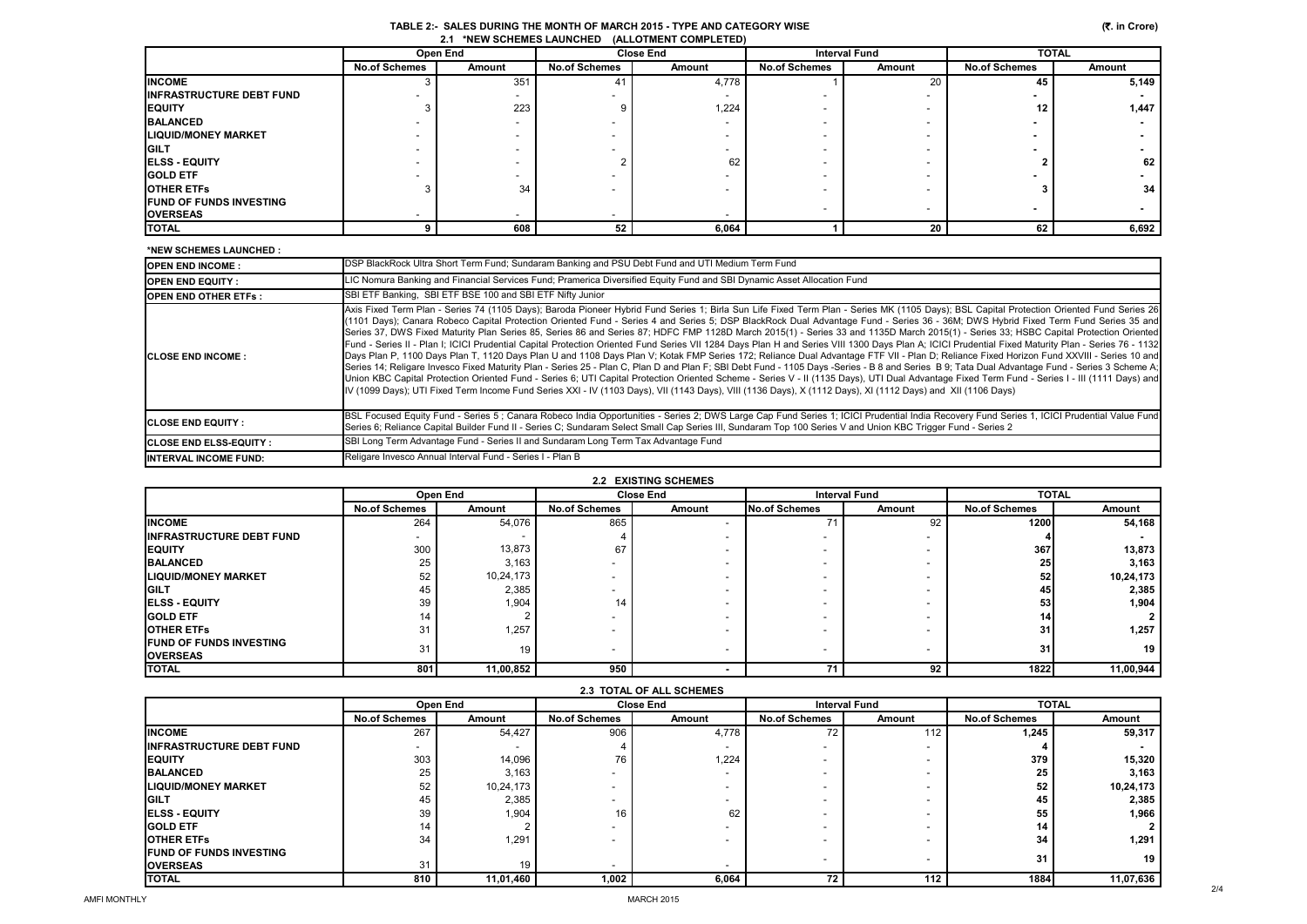| TABLE 2:-  SALES DURING THE MONTH OF MARCH 2015 - TYPE AND CATEGORY WISE |  |
|--------------------------------------------------------------------------|--|
| 2.1 *NEW SCHEMES LAUNCHED (ALLOTMENT COMPLETED)                          |  |

| .<br><b>INLIN SOFILIMES EAGNOTIED</b> (ALLOTIMENT COMPLETED) |                      |        |                      |                  |                      |                          |                      |        |
|--------------------------------------------------------------|----------------------|--------|----------------------|------------------|----------------------|--------------------------|----------------------|--------|
|                                                              | Open End             |        |                      | <b>Close End</b> |                      | <b>Interval Fund</b>     | <b>TOTAL</b>         |        |
|                                                              | <b>No.of Schemes</b> | Amount | <b>No.of Schemes</b> | Amount           | <b>No.of Schemes</b> | Amount                   | <b>No.of Schemes</b> | Amount |
| <b>INCOME</b>                                                |                      | 351    |                      | 4,778            |                      | 20                       | 45                   | 5,149  |
| <b>IINFRASTRUCTURE DEBT FUND</b>                             |                      |        |                      |                  |                      |                          |                      |        |
| <b>EQUITY</b>                                                |                      | 223    |                      | 1,224            |                      |                          | 12                   | 1,447  |
| <b>BALANCED</b>                                              |                      |        |                      |                  |                      |                          |                      |        |
| <b>LIQUID/MONEY MARKET</b>                                   |                      |        |                      |                  |                      |                          |                      |        |
| <b>GILT</b>                                                  |                      |        |                      |                  |                      |                          |                      |        |
| <b>ELSS - EQUITY</b>                                         |                      |        |                      | 62               |                      |                          |                      | 62     |
| <b>GOLD ETF</b>                                              |                      |        |                      |                  |                      |                          |                      |        |
| <b>OTHER ETFS</b>                                            |                      | 34     |                      |                  |                      |                          |                      | 34     |
| <b>FUND OF FUNDS INVESTING</b>                               |                      |        |                      |                  |                      | $\overline{\phantom{a}}$ |                      |        |
| <b>OVERSEAS</b>                                              |                      |        |                      |                  |                      |                          |                      |        |
| <b>TOTAL</b>                                                 |                      | 608    | 52                   | 6,064            |                      | 20                       | 62                   | 6,692  |

#### **\*NEW SCHEMES LAUNCHED :**

| <b>OPEN END INCOME :</b>        | DSP BlackRock Ultra Short Term Fund; Sundaram Banking and PSU Debt Fund and UTI Medium Term Fund                                                                                                                                                                                                                                                                                                                                                                                                                                                                                                                                                                                                                                                                                                                                                                                                                                                                                                                                                                                                                                                                                                                                                                                                                                                                                                                                                                                                                                               |
|---------------------------------|------------------------------------------------------------------------------------------------------------------------------------------------------------------------------------------------------------------------------------------------------------------------------------------------------------------------------------------------------------------------------------------------------------------------------------------------------------------------------------------------------------------------------------------------------------------------------------------------------------------------------------------------------------------------------------------------------------------------------------------------------------------------------------------------------------------------------------------------------------------------------------------------------------------------------------------------------------------------------------------------------------------------------------------------------------------------------------------------------------------------------------------------------------------------------------------------------------------------------------------------------------------------------------------------------------------------------------------------------------------------------------------------------------------------------------------------------------------------------------------------------------------------------------------------|
| <b>OPEN END EQUITY:</b>         | LIC Nomura Banking and Financial Services Fund; Pramerica Diversified Equity Fund and SBI Dynamic Asset Allocation Fund                                                                                                                                                                                                                                                                                                                                                                                                                                                                                                                                                                                                                                                                                                                                                                                                                                                                                                                                                                                                                                                                                                                                                                                                                                                                                                                                                                                                                        |
| <b>OPEN END OTHER ETFS:</b>     | SBI ETF Banking, SBI ETF BSE 100 and SBI ETF Nifty Junior                                                                                                                                                                                                                                                                                                                                                                                                                                                                                                                                                                                                                                                                                                                                                                                                                                                                                                                                                                                                                                                                                                                                                                                                                                                                                                                                                                                                                                                                                      |
| <b>CLOSE END INCOME:</b>        | Axis Fixed Term Plan - Series 74 (1105 Days); Baroda Pioneer Hybrid Fund Series 1; Birla Sun Life Fixed Term Plan - Series MK (1105 Days); BSL Capital Protection Oriented Fund Series 26<br>(1101 Days); Canara Robeco Capital Protection Oriented Fund - Series 4 and Series 5; DSP BlackRock Dual Advantage Fund - Series 36 - 36M; DWS Hybrid Fixed Term Fund Series 35 and<br>Series 37, DWS Fixed Maturity Plan Series 85, Series 86 and Series 87; HDFC FMP 1128D March 2015(1) - Series 33 and 1135D March 2015(1) - Series 33; HSBC Capital Protection Oriented<br>Fund - Series II - Plan I; ICICI Prudential Capital Protection Oriented Fund Series VII 1284 Days Plan H and Series VIII 1300 Days Plan A; ICICI Prudential Fixed Maturity Plan - Series 76 - 1132<br>Days Plan P, 1100 Days Plan T, 1120 Days Plan U and 1108 Days Plan V; Kotak FMP Series 172; Reliance Dual Advantage FTF VII - Plan D; Reliance Fixed Horizon Fund XXVIII - Series 10 and<br>Series 14; Religare Invesco Fixed Maturity Plan - Series 25 - Plan C, Plan D and Plan F; SBI Debt Fund - 1105 Days -Series - B 8 and Series B 9; Tata Dual Advantage Fund - Series 3 Scheme A;<br>Union KBC Capital Protection Oriented Fund - Series 6; UTI Capital Protection Oriented Scheme - Series V - II (1135 Days), UTI Dual Advantage Fixed Term Fund - Series I - III (1111 Days) and<br>IV (1099 Days); UTI Fixed Term Income Fund Series XXI - IV (1103 Days), VII (1143 Days), VIII (1136 Days), X (1112 Days), XI (1112 Days) and XII (1106 Days) |
| <b>ICLOSE END EQUITY :</b>      | BSL Focused Equity Fund - Series 5 ; Canara Robeco India Opportunities - Series 2; DWS Large Cap Fund Series 1; ICICI Prudential India Recovery Fund Series 1, ICICI Prudential Value Fund<br>Series 6; Reliance Capital Builder Fund II - Series C; Sundaram Select Small Cap Series III, Sundaram Top 100 Series V and Union KBC Trigger Fund - Series 2                                                                                                                                                                                                                                                                                                                                                                                                                                                                                                                                                                                                                                                                                                                                                                                                                                                                                                                                                                                                                                                                                                                                                                                     |
| <b>ICLOSE END ELSS EQUITY :</b> | SBI Long Term Advantage Fund - Series II and Sundaram Long Term Tax Advantage Fund                                                                                                                                                                                                                                                                                                                                                                                                                                                                                                                                                                                                                                                                                                                                                                                                                                                                                                                                                                                                                                                                                                                                                                                                                                                                                                                                                                                                                                                             |
| <b>INTERVAL INCOME FUND:</b>    | Religare Invesco Annual Interval Fund - Series I - Plan B                                                                                                                                                                                                                                                                                                                                                                                                                                                                                                                                                                                                                                                                                                                                                                                                                                                                                                                                                                                                                                                                                                                                                                                                                                                                                                                                                                                                                                                                                      |

| <b>2.2 EXISTING SCHEMES</b>     |                      |           |                          |                          |                                |                          |                      |           |  |  |
|---------------------------------|----------------------|-----------|--------------------------|--------------------------|--------------------------------|--------------------------|----------------------|-----------|--|--|
|                                 |                      | Open End  |                          | <b>Close End</b>         |                                | <b>Interval Fund</b>     | <b>TOTAL</b>         |           |  |  |
|                                 | <b>No.of Schemes</b> | Amount    | <b>No.of Schemes</b>     | Amount                   | <b>No.of Schemes</b><br>Amount |                          | <b>No.of Schemes</b> | Amount    |  |  |
| <b>INCOME</b>                   | 264                  | 54,076    | 865                      | $\overline{\phantom{a}}$ |                                | 92                       | 1200                 | 54,168    |  |  |
| <b>INFRASTRUCTURE DEBT FUND</b> | $\sim$               |           |                          |                          | -                              |                          |                      |           |  |  |
| <b>EQUITY</b>                   | 300                  | 13,873    | 67                       |                          | -                              |                          | 367                  | 13,873    |  |  |
| <b>BALANCED</b>                 | 25                   | 3,163     |                          |                          | -                              | <b>.</b>                 | 25                   | 3,163     |  |  |
| <b>LIQUID/MONEY MARKET</b>      | 52                   | 10,24,173 |                          |                          | -                              | <b>.</b>                 | 52                   | 10,24,173 |  |  |
| <b>GILT</b>                     | 45                   | 2,385     |                          |                          | -                              |                          | 45                   | 2,385     |  |  |
| <b>ELSS - EQUITY</b>            | 39                   | 1,904     | 14                       |                          | ۰                              |                          | 53                   | 1,904     |  |  |
| <b>GOLD ETF</b>                 | 14                   |           |                          |                          | -                              |                          | 14                   |           |  |  |
| <b>OTHER ETFS</b>               | 31                   | 1,257     |                          |                          | -                              |                          | 31                   | 1,257     |  |  |
| <b>FUND OF FUNDS INVESTING</b>  | 31                   | 19        | $\overline{\phantom{a}}$ |                          | $\overline{\phantom{a}}$       | $\overline{\phantom{a}}$ | 31                   | 19        |  |  |
| <b>OVERSEAS</b>                 |                      |           |                          |                          |                                |                          |                      |           |  |  |
| <b>TOTAL</b>                    | 801                  | 11,00,852 | 950                      |                          | 71                             | 92                       | 1822                 | 11,00,944 |  |  |

|--|

|                                 | Open End             |           |                      | <b>Close End</b> |                          | <b>Interval Fund</b> | <b>TOTAL</b>         |           |
|---------------------------------|----------------------|-----------|----------------------|------------------|--------------------------|----------------------|----------------------|-----------|
|                                 | <b>No.of Schemes</b> | Amount    | <b>No.of Schemes</b> | Amount           | <b>No.of Schemes</b>     | Amount               | <b>No.of Schemes</b> | Amount    |
| <b>INCOME</b>                   | 267                  | 54,427    | 906                  | 4,778            | 72                       | 112                  | 1,245                | 59,317    |
| <b>INFRASTRUCTURE DEBT FUND</b> |                      |           |                      |                  | $\overline{\phantom{a}}$ |                      |                      |           |
| <b>IEQUITY</b>                  | 303                  | 14,096    | 76                   | 1.224            | $\overline{\phantom{0}}$ |                      | 379                  | 15,320    |
| <b>BALANCED</b>                 | 25                   | 3,163     |                      |                  | $\overline{\phantom{0}}$ |                      | 25                   | 3,163     |
| <b>LIQUID/MONEY MARKET</b>      | 52                   | 10,24,173 |                      |                  | $\overline{\phantom{0}}$ |                      | 52                   | 10,24,173 |
| <b>GILT</b>                     | 45                   | 2,385     |                      |                  | $\overline{\phantom{a}}$ |                      | 45                   | 2,385     |
| <b>IELSS - EQUITY</b>           | 39                   | 1,904     | 16 <sub>1</sub>      | 62               | $\overline{\phantom{0}}$ |                      | 55                   | 1,966     |
| <b>IGOLD ETF</b>                | 14                   |           |                      |                  | $\overline{\phantom{0}}$ |                      | 14                   |           |
| <b>IOTHER ETFS</b>              | 34                   | 1,291     |                      |                  | $\overline{\phantom{0}}$ |                      | 34                   | 1,291     |
| <b>FUND OF FUNDS INVESTING</b>  |                      |           |                      |                  | $\overline{\phantom{0}}$ |                      | 31                   | 19        |
| <b>OVERSEAS</b>                 | 31                   | 19        |                      |                  |                          |                      |                      |           |
| <b>TOTAL</b>                    | 810                  | 11,01,460 | 1,002                | 6,064            | 72                       | 112.                 | 1884                 | 11,07,636 |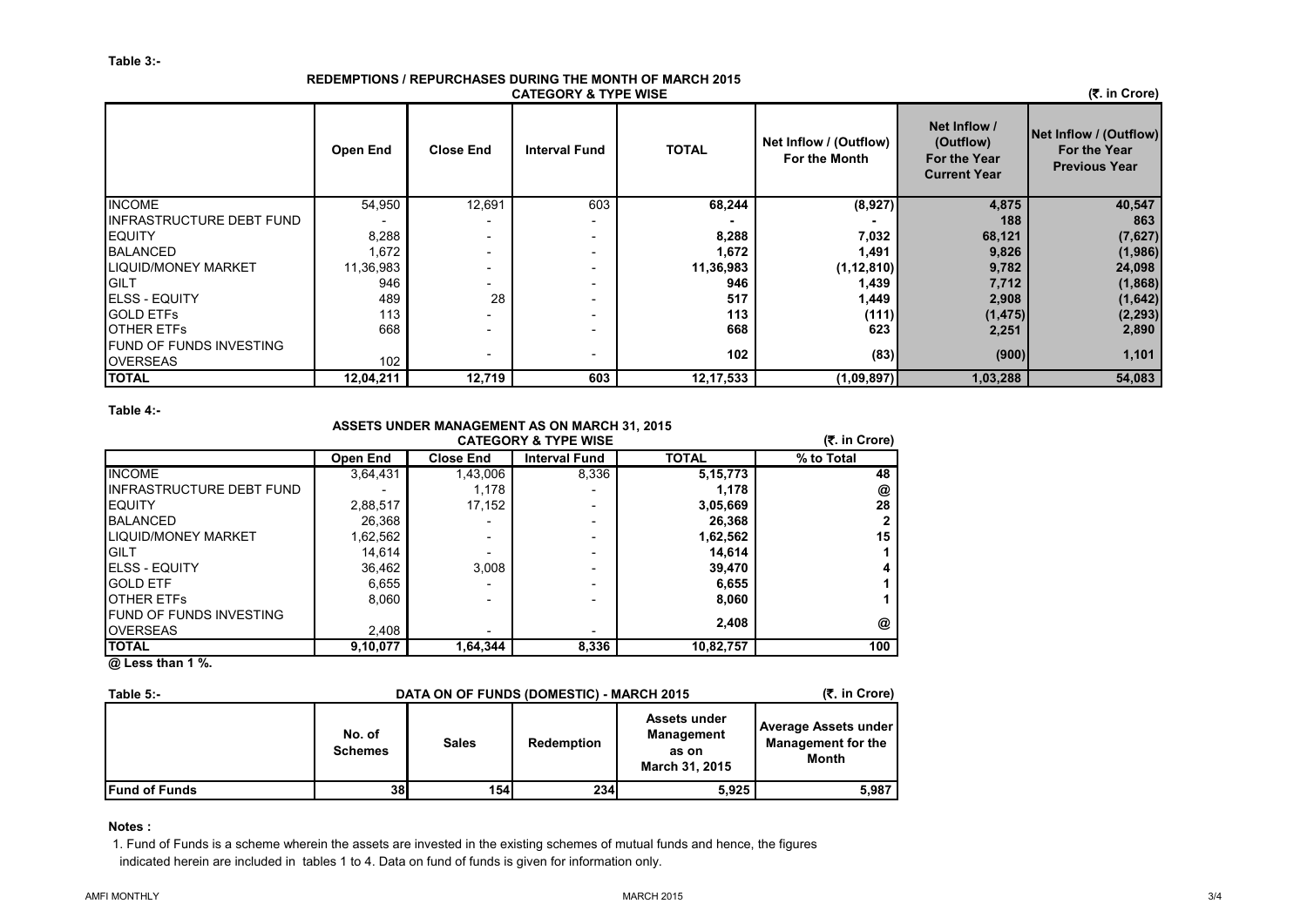#### **REDEMPTIONS / REPURCHASES DURING THE MONTH OF MARCH 2015 CATEGORY & TYPE WISE**

 **(**`**. in Crore)**

|                                 | <b>Open End</b> | <b>Close End</b> | <b>Interval Fund</b>     | <b>TOTAL</b> | Net Inflow / (Outflow)<br>For the Month | Net Inflow /<br>(Outflow)<br><b>For the Year</b><br><b>Current Year</b> | Net Inflow / (Outflow)<br>For the Year<br><b>Previous Year</b> |
|---------------------------------|-----------------|------------------|--------------------------|--------------|-----------------------------------------|-------------------------------------------------------------------------|----------------------------------------------------------------|
| <b>INCOME</b>                   | 54,950          | 12,691           | 603                      | 68,244       | (8,927)                                 | 4,875                                                                   | 40,547                                                         |
| <b>INFRASTRUCTURE DEBT FUND</b> |                 |                  |                          |              |                                         | 188                                                                     | 863                                                            |
| <b>EQUITY</b>                   | 8,288           |                  |                          | 8,288        | 7,032                                   | 68,121                                                                  | (7,627)                                                        |
| <b>BALANCED</b>                 | 1,672           |                  |                          | 1,672        | 1,491                                   | 9,826                                                                   | (1,986)                                                        |
| <b>LIQUID/MONEY MARKET</b>      | 11,36,983       |                  |                          | 11,36,983    | (1, 12, 810)                            | 9,782                                                                   | 24,098                                                         |
| <b>IGILT</b>                    | 946             |                  |                          | 946          | 1,439                                   | 7,712                                                                   | (1,868)                                                        |
| <b>IELSS - EQUITY</b>           | 489             | 28               |                          | 517          | 1,449                                   | 2,908                                                                   | (1,642)                                                        |
| <b>GOLD ETFS</b>                | 113             |                  |                          | 113          | (111)                                   | (1, 475)                                                                | (2, 293)                                                       |
| <b>OTHER ETFS</b>               | 668             |                  |                          | 668          | 623                                     | 2,251                                                                   | 2,890                                                          |
| <b>FUND OF FUNDS INVESTING</b>  |                 |                  |                          | 102          |                                         |                                                                         |                                                                |
| <b>OVERSEAS</b>                 | 102             |                  | $\overline{\phantom{a}}$ |              | (83)                                    | (900)                                                                   | 1,101                                                          |
| <b>TOTAL</b>                    | 12,04,211       | 12,719           | 603                      | 12,17,533    | (1,09,897)                              | 1,03,288                                                                | 54,083                                                         |

**Table 4:-**

## **ASSETS UNDER MANAGEMENT AS ON MARCH 31, 2015**

|                                |          | <b>CATEGORY &amp; TYPE WISE</b> |                          |              |            |  |  |  |  |  |
|--------------------------------|----------|---------------------------------|--------------------------|--------------|------------|--|--|--|--|--|
|                                | Open End | <b>Close End</b>                | <b>Interval Fund</b>     | <b>TOTAL</b> | % to Total |  |  |  |  |  |
| <b>INCOME</b>                  | 3,64,431 | 1,43,006                        | 8,336                    | 5, 15, 773   | 48         |  |  |  |  |  |
| INFRASTRUCTURE DEBT FUND       |          | 1,178                           | $\overline{\phantom{a}}$ | 1.178        | @          |  |  |  |  |  |
| <b>EQUITY</b>                  | 2,88,517 | 17,152                          |                          | 3,05,669     | 28         |  |  |  |  |  |
| <b>BALANCED</b>                | 26,368   | ۰                               | $\overline{\phantom{a}}$ | 26.368       | 2          |  |  |  |  |  |
| <b>LIQUID/MONEY MARKET</b>     | 1,62,562 | $\overline{\phantom{a}}$        | $\overline{\phantom{a}}$ | 1,62,562     | 15         |  |  |  |  |  |
| <b>GILT</b>                    | 14,614   | ۰                               | $\overline{\phantom{a}}$ | 14,614       |            |  |  |  |  |  |
| <b>I</b> ELSS - EQUITY         | 36,462   | 3.008                           | $\overline{\phantom{a}}$ | 39,470       |            |  |  |  |  |  |
| <b>GOLD ETF</b>                | 6.655    | -                               |                          | 6,655        |            |  |  |  |  |  |
| <b>OTHER ETFS</b>              | 8.060    | -                               |                          | 8,060        |            |  |  |  |  |  |
| <b>FUND OF FUNDS INVESTING</b> |          |                                 |                          | 2.408        |            |  |  |  |  |  |
| <b>OVERSEAS</b>                | 2.408    | $\overline{\phantom{a}}$        | $\overline{\phantom{a}}$ |              | @          |  |  |  |  |  |
| <b>TOTAL</b>                   | 9,10,077 | 1,64,344                        | 8,336                    | 10,82,757    | 100        |  |  |  |  |  |

**@ Less than 1 %.**

| Table 5:-            | DATA ON OF FUNDS (DOMESTIC) - MARCH 2015 | (₹. in Crore) |            |                                                                     |                                                                          |
|----------------------|------------------------------------------|---------------|------------|---------------------------------------------------------------------|--------------------------------------------------------------------------|
|                      | No. of<br><b>Schemes</b>                 | <b>Sales</b>  | Redemption | <b>Assets under</b><br><b>Management</b><br>as on<br>March 31, 2015 | <b>Average Assets under</b><br><b>Management for the</b><br><b>Month</b> |
| <b>Fund of Funds</b> | 38 <sup>l</sup>                          | 154           | 234        | 5,925                                                               | 5,987                                                                    |

### **Notes :**

1. Fund of Funds is a scheme wherein the assets are invested in the existing schemes of mutual funds and hence, the figures indicated herein are included in tables 1 to 4. Data on fund of funds is given for information only.